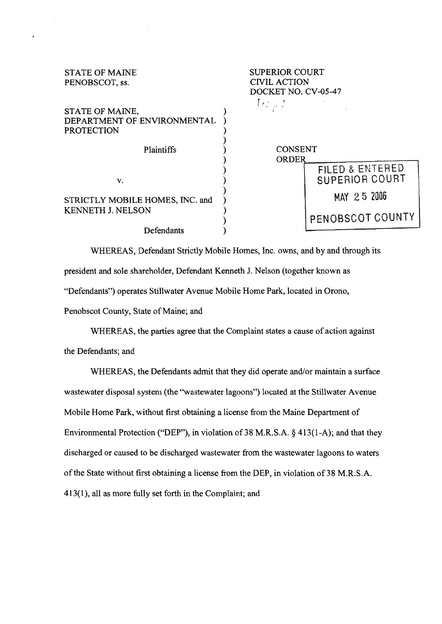| <b>STATE OF MAINE</b><br>PENOBSCOT, ss.                             | <b>SUPERIOR COURT</b><br><b>CIVIL ACTION</b><br>DOCKET NO. CV-05-47   |  |  |
|---------------------------------------------------------------------|-----------------------------------------------------------------------|--|--|
| STATE OF MAINE,<br>DEPARTMENT OF ENVIRONMENTAL<br><b>PROTECTION</b> | $\{c_{\mu}\}_{\nu\in\mathbb{N}}$ and $\{c_{\mu}\}_{\nu\in\mathbb{N}}$ |  |  |
| Plaintiffs                                                          | <b>CONSENT</b><br><b>ORDER</b>                                        |  |  |
| V.                                                                  | FILED & ENTERED<br>SUPERIOR COURT                                     |  |  |
| STRICTLY MOBILE HOMES, INC. and<br><b>KENNETH J. NELSON</b>         | MAY 25 2006                                                           |  |  |
|                                                                     | PENOBSCOT COUNTY                                                      |  |  |
| Defendants                                                          |                                                                       |  |  |

 $\ddot{\phantom{0}}$ 

WHEREAS, Defendant Strictly Mobile Homes, Inc. owns, and by and through its president and sole shareholder, Defendant Kenneth J. Nelson (together known as "Defendants") operates Stillwater Avenue Mobile Home Park, located in Orono, Penobscot County, State of Maine; and

WHEREAS, the parties agree that the Complaint states a cause of action against the Defendants; and

WHEREAS, the Defendants admit that they did operate and/or maintain a surface wastewater disposal system (the "wastewater lagoons") located at the Stillwater Avenue Mobile Home Park, without first obtaining a license from the Maine Department of Environmental Protection ("DEP"), in violation of 38 M.R.S.A. § 413(1-A); and that they discharged or caused to be discharged wastewater from the wastewater lagoons to waters of the State without first obtaining a license from the DEP, in violation of 38 M.R.S.A. 4 13(1), all as more fully set forth in the Complaint; and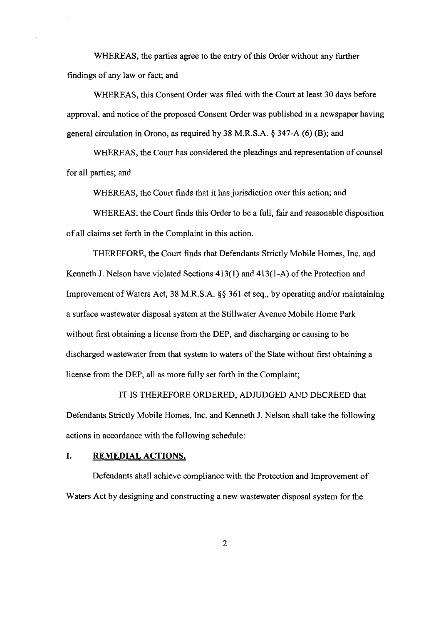WHEREAS, the parties agree to the entry of this Order without any further findings of any law or fact; and

WHEREAS, this Consent Order was filed with the Court at least 30 days before approval, and notice of the proposed Consent Order was published in a newspaper having general circulation in Orono, as required by 38 M.R.S.A. @ 347-A (6) (B); and

WHEREAS, the Court has considered the pleadings and representation of counsel for all parties; and

WHEREAS, the Court finds that it has jurisdictior, over this action; and

WHEREAS, the Court finds this Order to be a full, fair and reasonable disposition of all claims set forth in the Complaint in this action.

THEREFORE, the Court finds that Defendants Strictly Mobile Homes, Inc. and Kenneth J. Nelson have violated Sections 413(1) and 413(1-A) of the Protection and Improvement of Waters Act, 38 M.R.S.A. **\$8** 361 et seq., by operating and/or maintaining a surface wastewater disposal system at the Stillwater Avenue Mobile Home Park without first obtaining a license fiom the DEP, and discharging or causing to be discharged wastewater fiom that system to waters of the State without first obtaining a license from the DEP, all as more fully set forth in the Complaint;

IT IS 'THEREFORE ORDERED, ADJUDGED AND DECREED that Defendants Strictly Mobile Homes, Inc. and Kenneth J. Nelson shall take the following actions in accordance with the following schedule:

## **I. REMEDIAL ACTIONS.**

Defendants shall achieve compliance with the Protection and Improvement of Waters Act by designing and constructing a new wastewater disposal system for the

 $\overline{2}$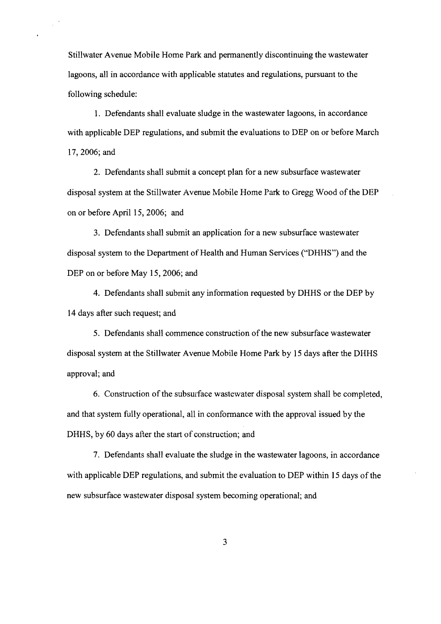Stillwater Avenue Mobile Home Park and permanently discontinuing the wastewater lagoons, all in accordance with applicable statutes and regulations, pursuant to the following schedule:

 $\mathcal{L}$ 

1. Defendants shall evaluate sludge in the wastewater lagoons, in accordance with applicable DEP regulations, and submit the evaluations to DEP on or before March 17,2006; and

2. Defendants shall submit a concept plan for a new subsurface wastewater disposal system at the Stillwater Avenue Mobile Home Park to Gregg Wood of the DEP on or before April 15, 2006; and

**3.** Defendants shall submit an application for a new subsurface wastewater disposal system to the Department of Health and Human Services ("DHHS") and the DEP on or before May 15, 2006; and

4. Defendanits shall submit any information requested by DHHS or the DEP by 14 days after such request; and

5. Defendants shall commence construction of the new subsurface wastewater disposal system at the Stillwater Avenue Mobile Home Park by 15 days after the DHHS approval; and

6. Construction of the subsurface wastewater disposal systea shall be completed, and that system fully operational, all in conformance with the approval issued by the DHHS, by 60 days after the start of construction; and

7. Defendants shall evaluate the sludge in the wastewater lagoons, in accordance with applicable DEP regulations, and submit the evaluation to DEP within 15 days of the new subsurface wastewater disposal system becoming operational; and

 $\overline{3}$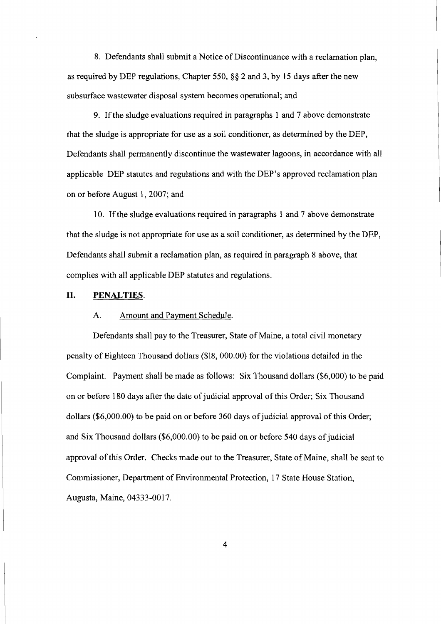8. Defendants shall submit a Notice of Discontinuance with a reclamation plan, as required by DEP regulations, Chapter 550,  $\S$ § 2 and 3, by 15 days after the new subsurface wastewater disposal system becomes operational; and

9. If the sludge evaluations required in paragraphs 1 and 7 above demonstrate that the sludge is appropriate for use as a soil conditioner, as determined by the DEP, Defendants shall permanently discontinue the wastewater lagoons, in accordance with all applicable DEP statutes and regulations and with the DEP's approved reclamation plan on or before August 1,2007; and

10. If the sludge evaluations required in paragraphs 1 and 7 above demonstrate that the sludge is not appropriate for use as a soil conditioner, as determined by the DEP, Defendants shall submit a reclamation plan, as required in paragraph 8 above, that complies with all applicable DEP statutes and regulations.

### **11.** PENALTIES.

#### **A.** Amount and Pavment Schedule.

Defendants shall pay to the Treasurer, State of Maine, a total civil monetary penalty of Eighteen Thousand dollars (\$18,000.00) for the violations detailed in the Complaint. Payment shall be made as follows: Six Thousand dollars (\$6,000) to be paid on or before 180 days after the date of judicial approval of this Order; Six Thousand dollars (\$6,000.00) to be paid on or before 360 days of judicial approval of this Order; and Six Thousand dollars (\$6,000.00) to be paid on or before 540 days of judicial approval of this Order. Checks made out to the Treasurer, State of Maine, shall be sent to Commissioner, Department of Environmental Protection, 17 State House Station, Augusta, Maine, 04333-0017.

 $\overline{4}$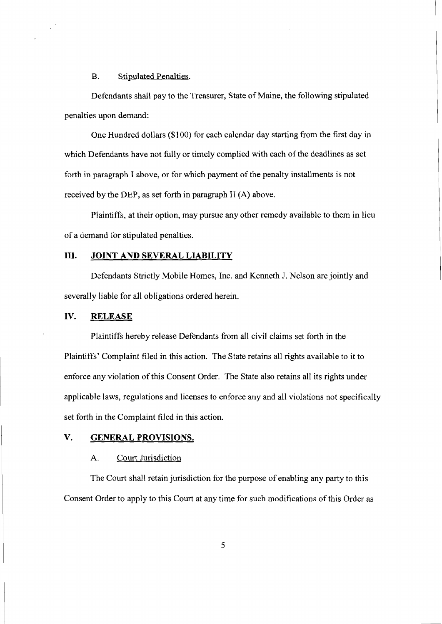B. Stipulated Penalties.

Defendants shall pay to the Treasurer, State of Maine, the following stipulated penalties upon demand:

One Hundred dollars (\$100) for each calendar day starting from the first day in which Defendants have not fully or timely complied with each of the deadlines as set forth in paragraph I above, or for which payment of the penalty installments is not received by the DEP, as set forth in paragraph II (A) above.

Plaintiffs, at their option, may pursue any other remedy available to them in lieu of a demand for stipillated penalties.

# **111. JOINT AND SEVERAL LIABILITY**

Defendants Strictly Mobile Homes, Inc. and Kenneth J. Nelson are jointly and severally liable for all obligations ordered herein.

## **IV. RELEASE**

Plaintiffs hereby release Defendants from all civil claims set forth in the Plaintiffs' Complaint filed in this action. The State retains all rights available to it to enforce any violation of this Consent Order. The State also retains all its rights under applicable laws, regulations and licenses to enforce any and all violations not specifically set forth in the Complaint filed in this action.

## V. GENERAL PROVISIONS.

#### **A.** Court Jurisdiction

The Court shall retain jurisdiction for the purpose of enabling any party to this Consent Order to apply to this Court at any time for such modifications of this Order as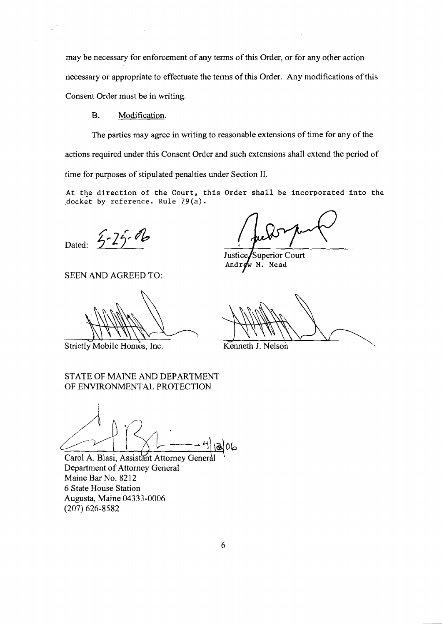may be necessary for enforcement of any terms of this Order, or for any other action necessary or appropriate to effectuate the terms of this Order. Any modifications of this Consent Order must be in writing.

#### B. Modification.

 $\mathcal{L}^{(0)}$ 

The parties may agree in writing to reasonable extensions of time for any of the actions required under this Consent Order and such extensions shall extend the period of time for purposes of stipulated penalties under Section 11.

At the direction of the Court, this Order shall be incorporated into the docket by reference. Rule  $79(a)$ .

Dated:  $5-25-16$ 

SEEN AND AGREED TO:

Strictly Mobile Homes, Inc.

Justice/Superior Court Androw M. Mead

Kenneth J. Nelson

STATE OF MAINE AND DEPARTMENT OF ENVIRONMENTAL PROTECTION

Carol A. Blasi, Assistant Attorney General Department of Attorney General Maine Bar No. 8212 6 State House Station Augusta, Maine 04333-0006 (207) 626-8582